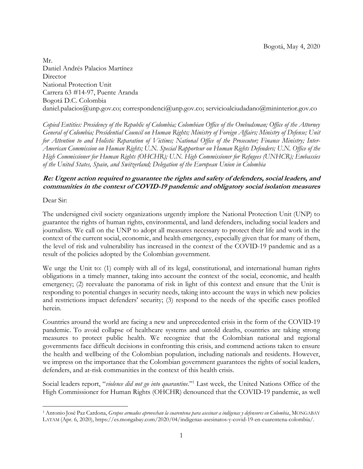Mr. Daniel Andrés Palacios Martínez Director National Protection Unit Carrera 63 #14-97, Puente Aranda Bogotá D.C. Colombia daniel.palacios@unp.gov.co; correspondenci@unp.gov.co; servicioalciudadano@mininterior.gov.co

*Copied Entities: Presidency of the Republic of Colombia; Colombian Office of the Ombudsman; Office of the Attorney General of Colombia; Presidential Council on Human Rights; Ministry of Foreign Affairs; Ministry of Defense; Unit for Attention to and Holistic Reparation of Victims; National Office of the Prosecutor; Finance Ministry; Inter-American Commission on Human Rights; U.N. Special Rapporteur on Human Rights Defenders; U.N. Office of the High Commissioner for Human Rights (OHCHR); U.N. High Commissioner for Refugees (UNHCR); Embassies of the United States, Spain, and Switzerland; Delegation of the European Union in Colombia* 

# **Re: Urgent action required to guarantee the rights and safety of defenders, social leaders, and communities in the context of COVID-19 pandemic and obligatory social isolation measures**

Dear Sir:

 $\overline{a}$ 

The undersigned civil society organizations urgently implore the National Protection Unit (UNP) to guarantee the rights of human rights, environmental, and land defenders, including social leaders and journalists. We call on the UNP to adopt all measures necessary to protect their life and work in the context of the current social, economic, and health emergency, especially given that for many of them, the level of risk and vulnerability has increased in the context of the COVID-19 pandemic and as a result of the policies adopted by the Colombian government.

We urge the Unit to: (1) comply with all of its legal, constitutional, and international human rights obligations in a timely manner, taking into account the context of the social, economic, and health emergency; (2) reevaluate the panorama of risk in light of this context and ensure that the Unit is responding to potential changes in security needs, taking into account the ways in which new policies and restrictions impact defenders' security; (3) respond to the needs of the specific cases profiled herein.

Countries around the world are facing a new and unprecedented crisis in the form of the COVID-19 pandemic. To avoid collapse of healthcare systems and untold deaths, countries are taking strong measures to protect public health. We recognize that the Colombian national and regional governments face difficult decisions in confronting this crisis, and commend actions taken to ensure the health and wellbeing of the Colombian population, including nationals and residents. However, we impress on the importance that the Colombian government guarantees the rights of social leaders, defenders, and at-risk communities in the context of this health crisis.

<span id="page-0-0"></span>Social leaders report, "*violence did not go into quarantine*."<sup>1</sup> Last week, the United Nations Office of the High Commissioner for Human Rights (OHCHR) denounced that the COVID-19 pandemic, as well

<sup>1</sup> Antonio José Paz Cardona, *Grupos armados aprovechan la cuarentena para asesinar a indígenas y defensores en Colombia*, MONGABAY LATAM (Apr. 6, 2020), https://es.mongabay.com/2020/04/indigenas-asesinatos-y-covid-19-en-cuarentena-colombia/.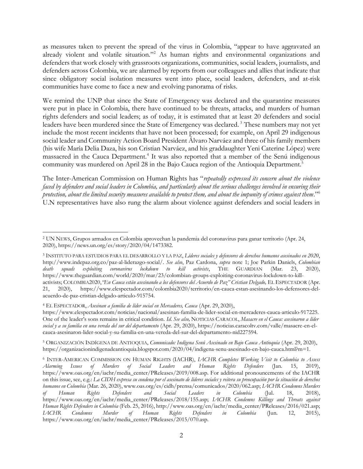as measures taken to prevent the spread of the virus in Colombia, "appear to have aggravated an already violent and volatile situation."<sup>2</sup> As human rights and environmental organizations and defenders that work closely with grassroots organizations, communities, social leaders, journalists, and defenders across Colombia, we are alarmed by reports from our colleagues and allies that indicate that since obligatory social isolation measures went into place, social leaders, defenders, and at-risk communities have come to face a new and evolving panorama of risks.

<span id="page-1-0"></span>We remind the UNP that since the State of Emergency was declared and the quarantine measures were put in place in Colombia, there have continued to be threats, attacks, and murders of human rights defenders and social leaders; as of today, it is estimated that at least 20 defenders and social leaders have been murdered since the State of Emergency was declared. <sup>3</sup> These numbers may not yet include the most recent incidents that have not been processed; for example, on April 29 indigenous social leader and Community Action Board President Álvaro Narváez and three of his family members (his wife María Delia Daza, his son Cristian Narváez, and his graddaughter Yeni Caterine López) were massacred in the Cauca Department.<sup>4</sup> It was also reported that a member of the Senú indigenous community was murdered on April 28 in the Bajo Cauca region of the Antioquia Department.<sup>5</sup>

The Inter-American Commission on Human Rights has "*repeatedly expressed its concern about the violence faced by defenders and social leaders in Colombia, and particularly about the serious challenges involved in ensuring their protection, about the limited security measures available to protect them, and about the impunity of crimes against them*."<sup>6</sup> U.N representatives have also rung the alarm about violence against defenders and social leaders in

 $\overline{a}$ 

<sup>2</sup> UN NEWS, Grupos armados en Colombia aprovechan la pandemia del coronavirus para ganar territorio (Apr. 24, 2020), https://news.un.org/es/story/2020/04/1473382.

<sup>3</sup> INSTITUTO PARA ESTUDIOS PARA EL DESARROLLO Y LA PAZ, *Líderes sociales y defensores de derechos humanos asesinados en 2020*, http://www.indepaz.org.co/paz-al-liderazgo-social/. *See also*, Paz Cardona, *supra* note [1;](#page-0-0) Joe Parkin Daniels, *Colombian death squads exploiting coronavirus lockdown to kill activists*, THE GUARDIAN (Mar. 23, 2020), https://www.theguardian.com/world/2020/mar/23/colombian-groups-exploiting-coronavirus-lockdown-to-killactivists; COLOMBIA2020, "En Cauca están asesinando a los defensores del Acuerdo de Paz" Cristian Delgado, EL ESPECTADOR (Apr.

<sup>21, 2020),</sup> https://www.elespectador.com/colombia2020/territorio/en-cauca-estan-asesinando-los-defensores-delacuerdo-de-paz-cristian-delgado-articulo-915754.

<sup>4</sup> EL ESPECTADOR, *Asesinan a familia de líder social en Mercaderes, Cauca* (Apr. 29, 2020),

https://www.elespectador.com/noticias/nacional/asesinan-familia-de-lider-social-en-mercaderes-cauca-articulo-917225. One of the leader's sons remains in critical condition. *Id*. *See also,* NOTICIAS CARACOL, *Masacre en el Cauca: asesinaron a líder social y a su familia en una vereda del sur del departamento* (Apr. 29, 2020), https://noticias.caracoltv.com/valle/masacre-en-elcauca-asesinaron-lider-social-y-su-familia-en-una-vereda-del-sur-del-departamento-nid227594.

<sup>5</sup> ORGANIZACIÓN INDÍGENA DE ANTIOQUIA, *Comunicado: Indígena Senú Asesinado en Bajo Cauca Antioquia* (Apr. 29, 2020), https://organizacionindigenadeantioquia.blogspot.com/2020/04/indigena-senu-asesinado-en-bajo-cauca.html?m=1.

<sup>6</sup> INTER-AMERICAN COMMISSION ON HUMAN RIGHTS (IACHR), *IACHR Completes Working Visit to Colombia to Assess Alarming Issues of Murders of Social Leaders and Human Rights Defenders* (Jan. 15, 2019), https://www.oas.org/en/iachr/media\_center/PReleases/2019/008.asp. For additional pronouncements of the IACHR on this issue, see, e.g.: *La CIDH expresa su condena por el asesinato de líderes sociales y reitera su preocupación por la situación de derechos humanos en Colombia* (Mar. 26, 2020), www.oas.org/es/cidh/prensa/comunicados/2020/062.asp; *IACHR Condemns Murders of Human Rights Defenders and Social Leaders in Colombia* (Jul. 18, 2018), https://www.oas.org/en/iachr/media\_center/PReleases/2018/155.asp; *IACHR Condemns Killings and Threats against Human Rights Defenders in Colombia* (Feb. 25, 2016), http://www.oas.org/en/iachr/media\_center/PReleases/2016/021.asp; *IACHR Condemns Murder of Human Rights Defenders in Colombia* (Jun. 12, 2015), https://www.oas.org/en/iachr/media\_center/PReleases/2015/070.asp.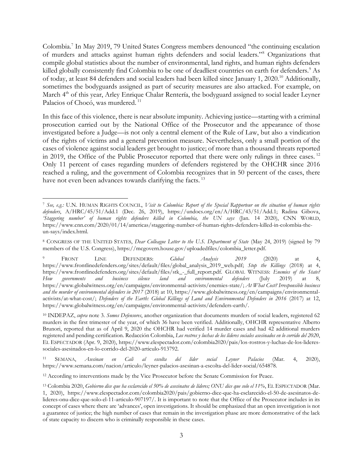<span id="page-2-0"></span>Colombia.<sup>7</sup> In May 2019, 79 United States Congress members denounced "the continuing escalation of murders and attacks against human rights defenders and social leaders."<sup>8</sup> Organizations that compile global statistics about the number of environmental, land rights, and human rights defenders killed globally consistently find Colombia to be one of deadliest countries on earth for defenders.<sup>9</sup> As of today, at least 84 defenders and social leaders had been killed since January 1, 2020.<sup>10</sup> Additionally, sometimes the bodyguards assigned as part of security measures are also attacked. For example, on March 4<sup>th</sup> of this year, Arley Enrique Chalar Rentería, the bodyguard assigned to social leader Leyner Palacios of Chocó, was murdered.<sup>11</sup>

In this face of this violence, there is near absolute impunity. Achieving justice—starting with a criminal prosecution carried out by the National Office of the Prosecutor and the appearance of those investigated before a Judge—is not only a central element of the Rule of Law, but also a vindication of the rights of victims and a general prevention measure. Nevertheless, only a small portion of the cases of violence against social leaders get brought to justice; of more than a thousand threats reported in 2019, the Office of the Public Prosecutor reported that there were only rulings in three cases.<sup>12</sup> Only 11 percent of cases regarding murders of defenders registered by the OHCHR since 2016 reached a ruling, and the government of Colombia recognizes that in 50 percent of the cases, there have not even been advances towards clarifying the facts.<sup>13</sup>

l

<sup>7</sup> *See, e.g.:* U.N. HUMAN RIGHTS COUNCIL, *Visit to Colombia: Report of the Special Rapporteur on the situation of human rights defenders*, A/HRC/45/51/Add.1 (Dec. 26, 2019), https://undocs.org/en/A/HRC/43/51/Add.1; Radina Gibova, *'Staggering number' of human rights defenders killed in Colombia, the UN says* (Jan. 14 2020), CNN WORLD, https://www.cnn.com/2020/01/14/americas/staggering-number-of-human-rights-defenders-killed-in-colombia-theun-says/index.html.

<sup>8</sup> CONGRESS OF THE UNITED STATES, *Dear Colleague Letter to the U.S. Department of State* (May 24, 2019) (signed by 79 members of the U.S. Congress), https://mcgovern.house.gov/uploadedfiles/colombia\_letter.pdf.

<sup>9</sup> FRONT LINE DEFENDERS: *Global Analysis 2019* (2020) at 4, https://www.frontlinedefenders.org/sites/default/files/global\_analysis\_2019\_web.pdf; *Stop the Killings* (2018) at 4, https://www.frontlinedefenders.org/sites/default/files/stk\_-\_full\_report.pdf. GLOBAL WITNESS: *Enemies of the State? How governments and business silence land and environmental defenders* (July 2019) at 8, https://www.globalwitness.org/en/campaigns/environmental-activists/enemies-state/; *At What Cost? Irresponsible business and the murder of environmental defenders in 2017* (2018) at 10, https://www.globalwitness.org/en/campaigns/environmentalactivists/at-what-cost/; *Defenders of the Earth: Global Killings of Land and Environmental Defenders in 2016* (2017) at 12, https://www.globalwitness.org/en/campaigns/environmental-activists/defenders-earth/.

<sup>10</sup> INDEPAZ, *supra* note [3.](#page-1-0) *Somos Defensores*, another organization that documents murders of social leaders, registered 62 murders in the first trimester of the year, of which 36 have been verified. Additionally, OHCHR representative Alberto Brunori, reported that as of April 9, 2020 the OHCHR had verified 14 murder cases and had 42 additional murders registered and pending certification. Redacción Colombia, *Los rostros y luchas de los líderes sociales asesinados en lo corrido del 2020*, EL ESPECTADOR (Apr. 9, 2020), https://www.elespectador.com/colombia2020/pais/los-rostros-y-luchas-de-los-lideressociales-asesinados-en-lo-corrido-del-2020-articulo-913792.

<sup>11</sup> SEMANA, *Asesinan en Cali al escolta del líder social Leyner Palacios* (Mar. 4, 2020), https://www.semana.com/nacion/articulo/leyner-palacios-asesinan-a-escolta-del-lider-social/654878.

<sup>&</sup>lt;sup>12</sup> According to interventions made by the Vice Prosecutor before the Senate Commission for Peace.

<sup>13</sup> Colombia 2020, *Gobierno dice que ha esclarecido el 50% de asesinatos de líderes; ONU dice que solo el 11%*, EL ESPECTADOR (Mar. 1, 2020), https://www.elespectador.com/colombia2020/pais/gobierno-dice-que-ha-esclarecido-el-50-de-asesinatos-delideres-onu-dice-que-solo-el-11-articulo-907197/. It is important to note that the Office of the Prosecutor includes in its concept of cases where there are 'advances', open investigations. It should be emphasized that an open investigation is not a guarantee of justice; the high number of cases that remain in the investigation phase are more demonstrative of the lack of state capacity to discern who is criminally responsible in these cases.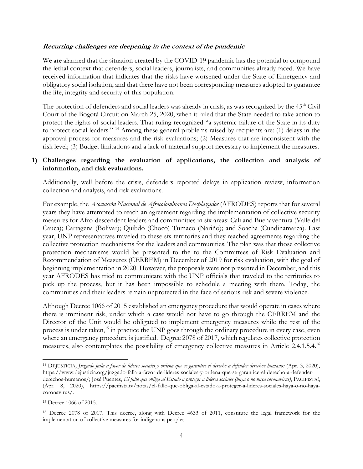#### **Recurring challenges are deepening in the context of the pandemic**

We are alarmed that the situation created by the COVID-19 pandemic has the potential to compound the lethal context that defenders, social leaders, journalists, and communities already faced. We have received information that indicates that the risks have worsened under the State of Emergency and obligatory social isolation, and that there have not been corresponding measures adopted to guarantee the life, integrity and security of this population.

<span id="page-3-0"></span>The protection of defenders and social leaders was already in crisis, as was recognized by the 45<sup>th</sup> Civil Court of the Bogotá Circuit on March 25, 2020, when it ruled that the State needed to take action to protect the rights of social leaders. That ruling recognized "a systemic failure of the State in its duty to protect social leaders." <sup>14</sup> Among these general problems raised by recipients are: (1) delays in the approval process for measures and the risk evaluations; (2) Measures that are inconsistent with the risk level; (3) Budget limitations and a lack of material support necessary to implement the measures.

#### **1) Challenges regarding the evaluation of applications, the collection and analysis of information, and risk evaluations.**

Additionally, well before the crisis, defenders reported delays in application review, information collection and analysis, and risk evaluations.

For example, the *Asociación Nacional de Afrocolombianos Desplazados* (AFRODES) reports that for several years they have attempted to reach an agreement regarding the implementation of collective security measures for Afro-descendent leaders and communities in six areas: Cali and Buenaventura (Valle del Cauca); Cartagena (Bolívar); Quibdó (Chocó) Tumaco (Nariño); and Soacha (Cundinamarca). Last year, UNP representatives traveled to these six territories and they reached agreements regarding the collective protection mechanisms for the leaders and communities. The plan was that those collective protection mechanisms would be presented to the to the Committees of Risk Evaluation and Recommendation of Measures (CERREM) in December of 2019 for risk evaluation, with the goal of beginning implementation in 2020. However, the proposals were not presented in December, and this year AFRODES has tried to communicate with the UNP officials that traveled to the territories to pick up the process, but it has been impossible to schedule a meeting with them. Today, the communities and their leaders remain unprotected in the face of serious risk and severe violence.

Although Decree 1066 of 2015 established an emergency procedure that would operate in cases where there is imminent risk, under which a case would not have to go through the CERREM and the Director of the Unit would be obligated to implement emergency measures while the rest of the process is under taken,<sup>15</sup> in practice the UNP goes through the ordinary procedure in every case, even where an emergency procedure is justified. Degree 2078 of 2017, which regulates collective protection measures, also contemplates the possibility of emergency collective measures in Article 2.4.1.5.4.<sup>16</sup>

 $\overline{a}$ <sup>14</sup> DEJUSTICIA, *Juzgado falla a favor de líderes sociales y ordena que se garantice el derecho a defender derechos humanos* (Apr. 3, 2020), https://www.dejusticia.org/juzgado-falla-a-favor-de-lideres-sociales-y-ordena-que-se-garantice-el-derecho-a-defenderderechos-humanos/; José Puentes, *El fallo que obliga al Estado a proteger a líderes sociales (haya o no haya coronavirus)*, PACIFISTA!, (Apr. 8, 2020), https://pacifista.tv/notas/el-fallo-que-obliga-al-estado-a-proteger-a-lideres-sociales-haya-o-no-hayacoronavirus/.

<sup>15</sup> Decree 1066 of 2015.

<sup>16</sup> Decree 2078 of 2017. This decree, along with Decree 4633 of 2011, constitute the legal framework for the implementation of collective measures for indigenous peoples.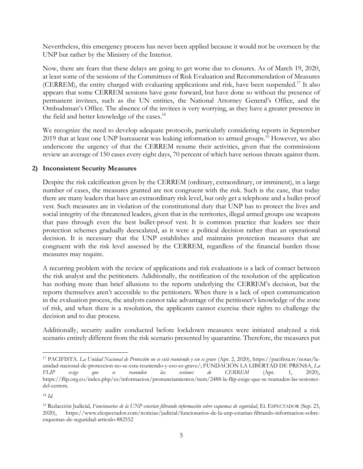Nevertheless, this emergency process has never been applied because it would not be overseen by the UNP but rather by the Ministry of the Interior.

Now, there are fears that these delays are going to get worse due to closures. As of March 19, 2020, at least some of the sessions of the Committees of Risk Evaluation and Recommendation of Measures (CERREM), the entity charged with evaluating applications and risk, have been suspended.<sup>17</sup> It also appears that some CERREM sessions have gone forward, but have done so without the presence of permanent invitees, such as the UN entities, the National Attorney General's Office, and the Ombudsman's Office. The absence of the invitees is very worrying, as they have a greater presence in the field and better knowledge of the cases.<sup>18</sup>

We recognize the need to develop adequate protocols, particularly considering reports in September 2019 that at least one UNP bureaucrat was leaking information to armed groups.<sup>19</sup> However, we also underscore the urgency of that the CERREM resume their activities, given that the commissions review an average of 150 cases every eight days, 70 percent of which have serious threats against them.

#### **2) Inconsistent Security Measures**

Despite the risk calcification given by the CERREM (ordinary, extraordinary, or imminent), in a large number of cases, the measures granted are not congruent with the risk. Such is the case, that today there are many leaders that have an extraordinary risk level, but only get a telephone and a bullet-proof vest. Such measures are in violation of the constitutional duty that UNP has to protect the lives and social integrity of the threatened leaders, given that in the territories, illegal armed groups use weapons that pass through even the best bullet-proof vest. It is common practice that leaders see their protection schemes gradually deescalated, as it were a political decision rather than an operational decision. It is necessary that the UNP establishes and maintains protection measures that are congruent with the risk level assessed by the CERREM, regardless of the financial burden those measures may require.

A recurring problem with the review of applications and risk evaluations is a lack of contact between the risk analyst and the petitioners. Adidtionally, the notification of the resolution of the application has nothing more than brief allusions to the reports underlying the CERREM's decision, but the reports themselves aren't accessible to the petitioners. When there is a lack of open communication in the evaluation process, the analysts cannot take advantage of the petitioner's knowledge of the zone of risk, and when there is a resolution, the applicants cannot exercise their rights to challenge the decision and to due process.

Additionally, security audits conducted before lockdown measures were initiated analyzed a risk scenario entirely different from the risk scenario presented by quarantine. Therefore, the measures put

 $\overline{\phantom{a}}$ 

<sup>17</sup> PACIFISTA. *La Unidad Nacional de Protección no se está reuniendo y eso es grave* (Apr. 2, 2020), https://pacifista.tv/notas/launidad-nacional-de-proteccion-no-se-esta-reuniendo-y-eso-es-grave/; FUNDACIÓN LA LIBERTAD DE PRENSA, *La FLIP exige que se reanuden las sesiones de CERREM* (Apr. 1, 2020), https://flip.org.co/index.php/es/informacion/pronunciamientos/item/2488-la-flip-exige-que-se-reanuden-las-sesionesdel-cerrem.

<sup>18</sup> *Id.*

<sup>19</sup> Redacción Judicial, *Funcionarios de la UNP estarían filtrando información sobre esquemas de seguridad*, EL ESPECTADOR (Sep. 23, 2020), https://www.elespectador.com/noticias/judicial/funcionarios-de-la-unp-estarian-filtrando-informacion-sobreesquemas-de-seguridad-articulo-882552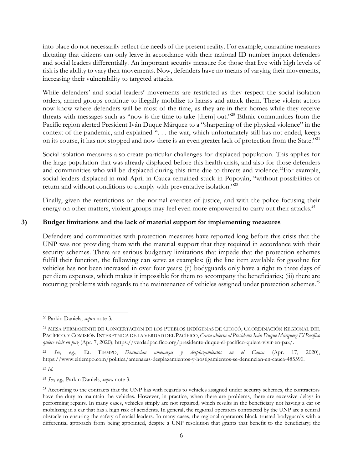into place do not necessarily reflect the needs of the present reality. For example, quarantine measures dictating that citizens can only leave in accordance with their national ID number impact defenders and social leaders differentially. An important security measure for those that live with high levels of risk is the ability to vary their movements. Now, defenders have no means of varying their movements, increasing their vulnerability to targeted attacks.

While defenders' and social leaders' movements are restricted as they respect the social isolation orders, armed groups continue to illegally mobilize to harass and attack them. These violent actors now know where defenders will be most of the time, as they are in their homes while they receive threats with messages such as "now is the time to take [them] out."<sup>20</sup> Ethnic communities from the Pacific region alerted President Iván Duque Márquez to a "sharpening of the physical violence" in the context of the pandemic, and explained ". . . the war, which unfortunately still has not ended, keeps on its course, it has not stopped and now there is an even greater lack of protection from the State."<sup>21</sup>

Social isolation measures also create particular challenges for displaced population. This applies for the large population that was already displaced before this health crisis, and also for those defenders and communities who will be displaced during this time due to threats and violence.<sup>22</sup>For example, social leaders displaced in mid-April in Cauca remained stuck in Popoyán, "without possibilities of return and without conditions to comply with preventative isolation."<sup>23</sup>

Finally, given the restrictions on the normal exercise of justice, and with the police focusing their energy on other matters, violent groups may feel even more empowered to carry out their attacks.<sup>24</sup>

## **3) Budget limitations and the lack of material support for implementing measures**

Defenders and communities with protection measures have reported long before this crisis that the UNP was not providing them with the material support that they required in accordance with their security schemes. There are serious budgetary limitations that impede that the protection schemes fulfill their function, the following can serve as examples: (i) the line item available for gasoline for vehicles has not been increased in over four years; (ii) bodyguards only have a right to three days of per diem expenses, which makes it impossible for them to accompany the beneficiaries; (iii) there are recurring problems with regards to the maintenance of vehicles assigned under protection schemes.<sup>25</sup>

 $\overline{\phantom{a}}$ <sup>20</sup> Parkin Daniels, *supra* note [3.](#page-1-0)

<sup>21</sup> MESA PERMANENTE DE CONCERTACIÓN DE LOS PUEBLOS INDÍGENAS DE CHOCÓ, COORDINACIÓN REGIONAL DEL PACÍFICO, Y COMISIÓN INTERÉTNICA DE LA VERDAD DEL PACÍFICO,*Carta abierta al Presidente Iván Duque Márquez: El Pacífico quiere vivir en paz* (Apr. 7, 2020), https://verdadpacifico.org/presidente-duque-el-pacifico-quiere-vivir-en-paz/.

<sup>22</sup> *See, e.g.*, EL TIEMPO, *Denuncian amenazas y desplazamientos en el Cauca* (Apr. 17, 2020), https://www.eltiempo.com/politica/amenazas-desplazamientos-y-hostigamientos-se-denuncian-en-cauca-485590.

<sup>23</sup> *Id*.

<sup>24</sup> *See, e.g*., Parkin Daniels, *supra* note [3.](#page-1-0)

<sup>&</sup>lt;sup>25</sup> According to the contracts that the UNP has with regards to vehicles assigned under security schemes, the contractors have the duty to maintain the vehicles. However, in practice, when there are problems, there are excessive delays in performing repairs. In many cases, vehicles simply are not repaired, which results in the beneficiary not having a car or mobilizing in a car that has a high risk of accidents. In general, the regional operators contracted by the UNP are a central obstacle to ensuring the safety of social leaders. In many cases, the regional operators block trusted bodyguards with a differential approach from being appointed, despite a UNP resolution that grants that benefit to the beneficiary; the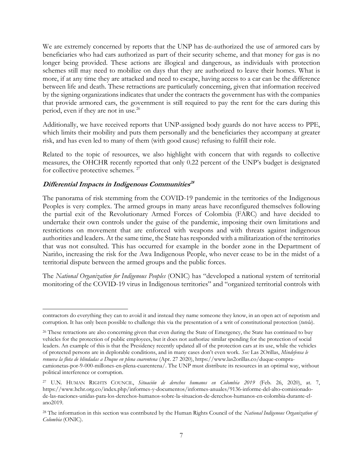We are extremely concerned by reports that the UNP has de-authorized the use of armored cars by beneficiaries who had cars authorized as part of their security scheme, and that money for gas is no longer being provided. These actions are illogical and dangerous, as individuals with protection schemes still may need to mobilize on days that they are authorized to leave their homes. What is more, if at any time they are attacked and need to escape, having access to a car can be the difference between life and death. These retractions are particularly concerning, given that information received by the signing organizations indicates that under the contracts the government has with the companies that provide armored cars, the government is still required to pay the rent for the cars during this period, even if they are not in use.<sup>26</sup>

Additionally, we have received reports that UNP-assigned body guards do not have access to PPE, which limits their mobility and puts them personally and the beneficiaries they accompany at greater risk, and has even led to many of them (with good cause) refusing to fulfill their role.

Related to the topic of resources, we also highlight with concern that with regards to collective measures, the OHCHR recently reported that only 0.22 percent of the UNP's budget is designated for collective protective schemes. <sup>27</sup>

# **Differential Impacts in Indigenous Communities 28**

 $\overline{\phantom{a}}$ 

The panorama of risk stemming from the COVID-19 pandemic in the territories of the Indigenous Peoples is very complex. The armed groups in many areas have reconfigured themselves following the partial exit of the Revolutionary Armed Forces of Colombia (FARC) and have decided to undertake their own controls under the guise of the pandemic, imposing their own limitations and restrictions on movement that are enforced with weapons and with threats against indigenous authorities and leaders. At the same time, the State has responded with a militarization of the territories that was not consulted. This has occurred for example in the border zone in the Department of Nariño, increasing the risk for the Awa Indigenous People, who never cease to be in the midst of a territorial dispute between the armed groups and the public forces.

The *National Organization for Indigenous Peoples* (ONIC) has "developed a national system of territorial monitoring of the COVID-19 virus in Indigenous territories" and "organized territorial controls with

contractors do everything they can to avoid it and instead they name someone they know, in an open act of nepotism and corruption. It has only been possible to challenge this via the presentation of a writ of constitutional protection (*tutela*).

<sup>&</sup>lt;sup>26</sup> These retractions are also concerning given that even during the State of Emergency, the State has continued to buy vehicles for the protection of public employees, but it does not authorize similar spending for the protection of social leaders. An example of this is that the Presidency recently updated all of the protection cars at its use, while the vehicles of protected persons are in deplorable conditions, and in many cases don't even work. *See:* Las 2Orillas, *Mindefensa le renueva la flota de blindadas a Duque en plena cuarentena* (Apr. 27 2020), https://www.las2orillas.co/duque-compracamionetas-por-9-000-millones-en-plena-cuarentena/. The UNP must distribute its resources in an optimal way, without political interference or corruption.

<sup>27</sup> U.N. HUMAN RIGHTS COUNCIL, *Situación de derechos humanos en Colombia 2019* (Feb. 26, 2020), at. 7, https://www.hchr.org.co/index.php/informes-y-documentos/informes-anuales/9136-informe-del-alto-comisionadode-las-naciones-unidas-para-los-derechos-humanos-sobre-la-situacion-de-derechos-humanos-en-colombia-durante-elano2019.

<sup>28</sup> The information in this section was contributed by the Human Rights Council of the *National Indigenous Organization of Colombia* (ONIC).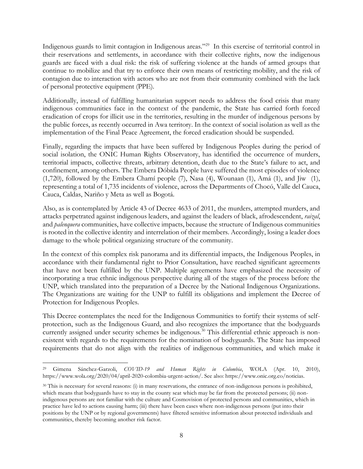<span id="page-7-0"></span>Indigenous guards to limit contagion in Indigenous areas."<sup>29</sup> In this exercise of territorial control in their reservations and settlements, in accordance with their collective rights, now the indigenous guards are faced with a dual risk: the risk of suffering violence at the hands of armed groups that continue to mobilize and that try to enforce their own means of restricting mobility, and the risk of contagion due to interaction with actors who are not from their community combined with the lack of personal protective equipment (PPE).

Additionally, instead of fulfilling humanitarian support needs to address the food crisis that many indigenous communities face in the context of the pandemic, the State has carried forth forced eradication of crops for illicit use in the territories, resulting in the murder of indigenous persons by the public forces, as recently occurred in Awa territory. In the context of social isolation as well as the implementation of the Final Peace Agreement, the forced eradication should be suspended.

Finally, regarding the impacts that have been suffered by Indigenous Peoples during the period of social isolation, the ONIC Human Rights Observatory, has identified the occurrence of murders, territorial impacts, collective threats, arbitrary detention, death due to the State's failure to act, and confinement, among others. The Embera Dóbida People have suffered the most episodes of violence (1,720), followed by the Embera Chamí people (7), Nasa (4), Wounaan (1), Amá (1), and Jiw (1), representing a total of 1,735 incidents of violence, across the Departments of Chocó, Valle del Cauca, Cauca, Caldas, Nariño y Meta as well as Bogotá.

Also, as is contemplated by Article 43 of Decree 4633 of 2011, the murders, attempted murders, and attacks perpetrated against indigenous leaders, and against the leaders of black, afrodescendent, *raizal*, and *palenquera* communities, have collective impacts, because the structure of Indigenous communities is rooted in the collective identity and interrelation of their members. Accordingly, losing a leader does damage to the whole political organizing structure of the community.

In the context of this complex risk panorama and its differential impacts, the Indigenous Peoples, in accordance with their fundamental right to Prior Consultation, have reached significant agreements that have not been fulfilled by the UNP. Multiple agreements have emphasized the necessity of incorporating a true ethnic indigenous perspective during all of the stages of the process before the UNP, which translated into the preparation of a Decree by the National Indigenous Organizations. The Organizations are waiting for the UNP to fulfill its obligations and implement the Decree of Protection for Indigenous Peoples.

This Decree contemplates the need for the Indigenous Communities to fortify their systems of selfprotection, such as the Indigenous Guard, and also recognizes the importance that the bodyguards currently assigned under security schemes be indigenous.<sup>30</sup> This differential ethnic approach is nonexistent with regards to the requirements for the nomination of bodyguards. The State has imposed requirements that do not align with the realities of indigenous communities, and which make it

 $\overline{\phantom{a}}$ <sup>29</sup> Gimena Sánchez-Garzoli, *COVID-19 and Human Rights in Colombia*, WOLA (Apr. 10, 2010), https://www.wola.org/2020/04/april-2020-colombia-urgent-action/. See also: https://www.onic.org.co/noticias.

<sup>30</sup> This is necessary for several reasons: (i) in many reservations, the entrance of non-indigenous persons is prohibited, which means that bodyguards have to stay in the county seat which may be far from the protected persons; (ii) nonindigenous persons are not familiar with the culture and Cosmovision of protected persons and communities, which in practice have led to actions causing harm; (iii) there have been cases where non-indigenous persons (put into their positions by the UNP or by regional governments) have filtered sensitive information about protected individuals and communities, thereby becoming another risk factor.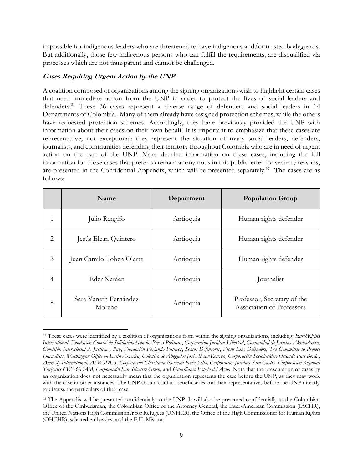impossible for indigenous leaders who are threatened to have indigenous and/or trusted bodyguards. But additionally, those few indigenous persons who can fulfill the requirements, are disqualified via processes which are not transparent and cannot be challenged.

### **Cases Requiring Urgent Action by the UNP**

A coalition composed of organizations among the signing organizations wish to highlight certain cases that need immediate action from the UNP in order to protect the lives of social leaders and defenders.<sup>31</sup> These 36 cases represent a diverse range of defenders and social leaders in 14 Departments of Colombia. Many of them already have assigned protection schemes, while the others have requested protection schemes. Accordingly, they have previously provided the UNP with information about their cases on their own behalf. It is important to emphasize that these cases are representative, not exceptional: they represent the situation of many social leaders, defenders, journalists, and communities defending their territory throughout Colombia who are in need of urgent action on the part of the UNP. More detailed information on these cases, including the full information for those cases that prefer to remain anonymous in this public letter for security reasons, are presented in the Confidential Appendix, which will be presented separately.<sup>32</sup> The cases are as follows:

|   | Name                            | Department | <b>Population Group</b>                                  |
|---|---------------------------------|------------|----------------------------------------------------------|
|   | Julio Rengifo                   | Antioquia  | Human rights defender                                    |
| 2 | Jesús Elean Quintero            | Antioquia  | Human rights defender                                    |
| 3 | Juan Camilo Toben Olarte        | Antioquia  | Human rights defender                                    |
| 4 | Eder Naráez                     | Antioquia  | Journalist                                               |
| 5 | Sara Yaneth Fernández<br>Moreno | Antioquia  | Professor, Secretary of the<br>Association of Professors |

 $\overline{\phantom{a}}$ <sup>31</sup> These cases were identified by a coalition of organizations from within the signing organizations, including: *EarthRights International*, *Fundación Comité de Solidaridad con los Presos Políticos*, *Corporación Jurídica Libertad*, *Comunidad de Juristas Akubadaura*, *Comisión Intereclesial de Justicia y Paz*, *Fundación Forjando Futuros*, *Somos Defensores*, *Front Line Defenders*, *The Committee to Protect Journalists*, *Washington Office on Latin America, Colectivo de Abogados José Alvear Restrpo, Corporación Sociojurídico Orlando Fals Borda, Amnesty International, AFRODES, Corporación Claretiana Normán Peréz Bella, Corporación Jurídica Yira Castro, Corporación Regional Yariguies CRY-GEAM, Corporación San Silvestre Green,* and *Guardianes Espejo del Agua*. Note that the presentation of cases by an organization does not necessarily mean that the organization represents the case before the UNP, as they may work with the case in other instances. The UNP should contact beneficiaries and their representatives before the UNP directly to discuss the particulars of their case.

<sup>&</sup>lt;sup>32</sup> The Appendix will be presented confidentially to the UNP. It will also be presented confidentially to the Colombian Office of the Ombudsman, the Colombian Office of the Attorney General, the Inter-American Commission (IACHR), the United Nations High Commissioner for Refugees (UNHCR), the Office of the High Commissioner for Human Rights (OHCHR), selected embassies, and the E.U. Mission.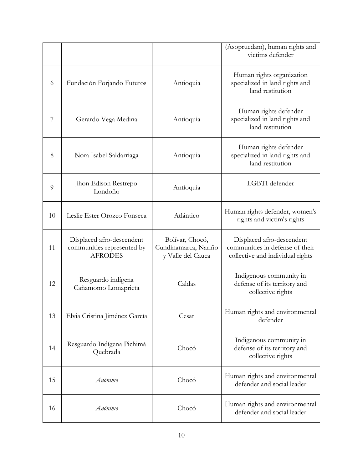|    |                                                                           |                                                              | (Asopruedam), human rights and<br>victims defender                                               |
|----|---------------------------------------------------------------------------|--------------------------------------------------------------|--------------------------------------------------------------------------------------------------|
| 6  | Fundación Forjando Futuros                                                | Antioquia                                                    | Human rights organization<br>specialized in land rights and<br>land restitution                  |
| 7  | Gerardo Vega Medina                                                       | Antioquia                                                    | Human rights defender<br>specialized in land rights and<br>land restitution                      |
| 8  | Nora Isabel Saldarriaga                                                   | Antioquia                                                    | Human rights defender<br>specialized in land rights and<br>land restitution                      |
| 9  | Jhon Edison Restrepo<br>Londoño                                           | Antioquia                                                    | LGBTI defender                                                                                   |
| 10 | Leslie Ester Orozco Fonseca                                               | Atlántico                                                    | Human rights defender, women's<br>rights and victim's rights                                     |
| 11 | Displaced afro-descendent<br>communities represented by<br><b>AFRODES</b> | Bolívar, Chocó,<br>Cundinamarca, Nariño<br>y Valle del Cauca | Displaced afro-descendent<br>communities in defense of their<br>collective and individual rights |
| 12 | Resguardo indígena<br>Cañamomo Lomaprieta                                 | Caldas                                                       | Indigenous community in<br>defense of its territory and<br>collective rights                     |
| 13 | Elvia Cristina Jiménez García                                             | Cesar                                                        | Human rights and environmental<br>defender                                                       |
| 14 | Resguardo Indígena Pichimá<br>Quebrada                                    | Chocó                                                        | Indigenous community in<br>defense of its territory and<br>collective rights                     |
| 15 | Anónimo                                                                   | Chocó                                                        | Human rights and environmental<br>defender and social leader                                     |
| 16 | Anónimo                                                                   | Chocó                                                        | Human rights and environmental<br>defender and social leader                                     |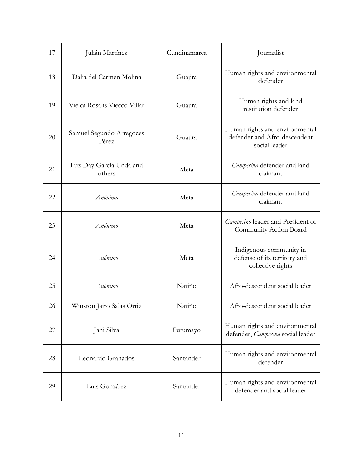| 17 | Julián Martínez                   | Cundinamarca | Journalist                                                                      |
|----|-----------------------------------|--------------|---------------------------------------------------------------------------------|
| 18 | Dalia del Carmen Molina           | Guajira      | Human rights and environmental<br>defender                                      |
| 19 | Vielca Rosalis Viecco Villar      | Guajira      | Human rights and land<br>restitution defender                                   |
| 20 | Samuel Segundo Arregoces<br>Pérez | Guajira      | Human rights and environmental<br>defender and Afro-descendent<br>social leader |
| 21 | Luz Day García Unda and<br>others | Meta         | Campesina defender and land<br>claimant                                         |
| 22 | Anónima                           | Meta         | Campesina defender and land<br>claimant                                         |
| 23 | Anónimo                           | Meta         | Campesino leader and President of<br>Community Action Board                     |
| 24 | Anónimo                           | Meta         | Indigenous community in<br>defense of its territory and<br>collective rights    |
| 25 | Anónimo                           | Nariño       | Afro-descendent social leader                                                   |
| 26 | Winston Jairo Salas Ortiz         | Nariño       | Afro-descendent social leader                                                   |
| 27 | Jani Silva                        | Putumayo     | Human rights and environmental<br>defender, Campesina social leader             |
| 28 | Leonardo Granados                 | Santander    | Human rights and environmental<br>defender                                      |
| 29 | Luis González                     | Santander    | Human rights and environmental<br>defender and social leader                    |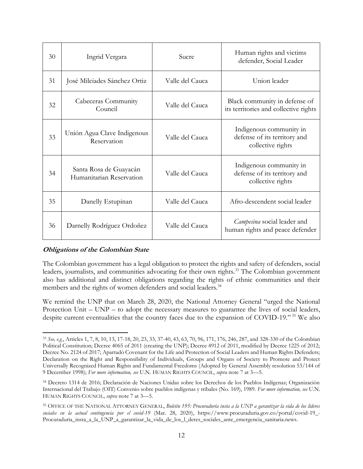| 30 | Ingrid Vergara                                     | Sucre           | Human rights and victims<br>defender, Social Leader                          |
|----|----------------------------------------------------|-----------------|------------------------------------------------------------------------------|
| 31 | José Milciades Sánchez Ortiz                       | Valle del Cauca | Union leader                                                                 |
| 32 | Cabeceras Community<br>Council                     | Valle del Cauca | Black community in defense of<br>its territories and collective rights       |
| 33 | Unión Agua Clave Indigenous<br>Reservation         | Valle del Cauca | Indigenous community in<br>defense of its territory and<br>collective rights |
| 34 | Santa Rosa de Guayacán<br>Humanitarian Reservation | Valle del Cauca | Indigenous community in<br>defense of its territory and<br>collective rights |
| 35 | Danelly Estupinan                                  | Valle del Cauca | Afro-descendent social leader                                                |
| 36 | Darnelly Rodríguez Ordoñez                         | Valle del Cauca | Campesina social leader and<br>human rights and peace defender               |

#### **Obligations of the Colombian State**

 $\overline{\phantom{a}}$ 

The Colombian government has a legal obligation to protect the rights and safety of defenders, social leaders, journalists, and communities advocating for their own rights.<sup>33</sup> The Colombian government also has additional and distinct obligations regarding the rights of ethnic communities and their members and the rights of women defenders and social leaders.<sup>34</sup>

We remind the UNP that on March 28, 2020, the National Attorney General "urged the National Protection Unit – UNP – to adopt the necessary measures to guarantee the lives of social leaders, despite current eventualities that the country faces due to the expansion of COVID-19." <sup>35</sup> We also

<sup>33</sup> *See, e.g.*, Articles 1, 7, 8, 10, 13, 17-18, 20, 23, 33, 37-40, 43, 63, 70, 96, 171, 176, 246, 287, and 328-330 of the Colombian Political Constitution; Decree 4065 of 2011 (creating the UNP); Decree 4912 of 2011, modified by Decree 1225 of 2012; Decree No. 2124 of 2017; Apartadó Covenant for the Life and Protection of Social Leaders and Human Rights Defenders; Declaration on the Right and Responsibility of Individuals, Groups and Organs of Society to Promote and Protect Universally Recognized Human Rights and Fundamental Freedoms (Adopted by General Assembly resolution 53/144 of 9 December 1998); *For more information, see* U.N. HUMAN RIGHTS COUNCIL, *supra* note [7](#page-2-0) at 3—5.

<sup>34</sup> Decreto 1314 de 2016; Declaración de Naciones Unidas sobre los Derechos de los Pueblos Indígenas; Organización Internacional del Trabajo (OIT) Convenio sobre pueblos indígenas y tribales (No. 169), 1989. *For more information, see* U.N. HUMAN RIGHTS COUNCIL, *supra* note [7](#page-2-0) at 3—5.

<sup>35</sup> OFFICE OF THE NATIONAL ATTORNEY GENERAL, *Boletín 195: Procuraduría insta a la UNP a garantizar la vida de los líderes sociales en la actual contingencia por el covid-19* (Mar. 28, 2020), https://www.procuraduria.gov.co/portal/covid-19\_- Procuraduria\_insta\_a\_la\_UNP\_a\_garantizar\_la\_vida\_de\_los\_l\_deres\_sociales\_ante\_emergencia\_sanitaria.news.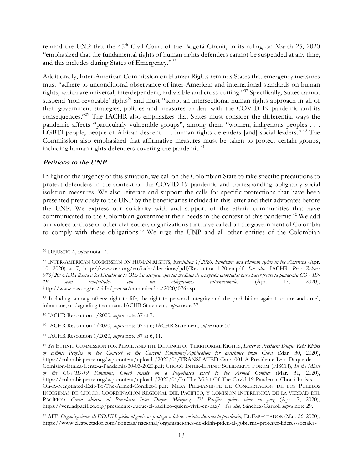remind the UNP that the 45<sup>th</sup> Civil Court of the Bogotá Circuit, in its ruling on March 25, 2020 "emphasized that the fundamental rights of human rights defenders cannot be suspended at any time, and this includes during States of Emergency." <sup>36</sup>

<span id="page-12-0"></span>Additionally, Inter-American Commission on Human Rights reminds States that emergency measures must "adhere to unconditional observance of inter-American and international standards on human rights, which are universal, interdependent, indivisible and cross-cutting."<sup>37</sup> Specifically, States cannot suspend 'non-revocable' rights<sup>38</sup> and must "adopt an intersectional human rights approach in all of their government strategies, policies and measures to deal with the COVID-19 pandemic and its consequences."<sup>39</sup> The IACHR also emphasizes that States must consider the differential ways the pandemic affects "particularly vulnerable groups", among them "women, indigenous peoples . . . LGBTI people, people of African descent . . . human rights defenders [and] social leaders."<sup>40</sup> The Commission also emphasized that affirmative measures must be taken to protect certain groups, including human rights defenders covering the pandemic.<sup>41</sup>

#### **Petitions to the UNP**

In light of the urgency of this situation, we call on the Colombian State to take specific precautions to protect defenders in the context of the COVID-19 pandemic and corresponding obligatory social isolation measures. We also reiterate and support the calls for specific protections that have been presented previously to the UNP by the beneficiaries included in this letter and their advocates before the UNP. We express our solidarity with and support of the ethnic communities that have communicated to the Colombian government their needs in the context of this pandemic.<sup>42</sup> We add our voices to those of other civil society organizations that have called on the government of Colombia to comply with these obligations.<sup>43</sup> We urge the UNP and all other entities of the Colombian

 $\overline{\phantom{a}}$ 

<sup>38</sup> Including, among others: right to life, the right to personal integrity and the prohibition against torture and cruel, inhumane, or degrading treatment. IACHR Statement, *supra* note [37](#page-12-0)

<sup>39</sup> IACHR Resolution 1/2020, *supra* note [37](#page-12-0) at 7.

<sup>40</sup> IACHR Resolution 1/2020, *supra* note [37](#page-12-0) at 6; IACHR Statement, *supra* note [37.](#page-12-0)

<sup>41</sup> IACHR Resolution 1/2020, *supra* note [37](#page-12-0) at 6, 11.

<sup>36</sup> DEJUSTICIA, *supra* nota [14.](#page-3-0)

<sup>37</sup> INTER-AMERICAN COMMISSION ON HUMAN RIGHTS, *Resolution 1/2020: Pandemic and Human rights in the Americas* (Apr. 10, 2020) at 7, http://www.oas.org/en/iachr/decisions/pdf/Resolution-1-20-en.pdf. *See also*, IACHR, *Press Release 076/20: CIDH llama a los Estados de la OEA a asegurar que las medidas de excepción adoptadas para hacer frente la pandemia COVID-19 sean compatibles con sus obligaciones internacionales* (Apr. 17, 2020), http://www.oas.org/es/cidh/prensa/comunicados/2020/076.asp.

<sup>42</sup> *See* ETHNIC COMMISSION FOR PEACE AND THE DEFENCE OF TERRITORIAL RIGHTS, *Letter to President Duque Ref.: Rights of Ethnic Peoples in the Context of the Current Pandemic/Application for assistance from Cuba* (Mar. 30, 2020), https://colombiapeace.org/wp-content/uploads/2020/04/TRANSLATED-Carta-001-A-Presidente-Ivan-Duque-de-Comision-Etnica-frente-a-Pandemia-30-03-2020.pdf; CHOCÓ INTER-ETHNIC SOLIDARITY FORUM (FISCH), *In the Midst of the COVID-19 Pandemic, Chocó insists on a Negotiated Exit to the Armed Conflict* (Mar. 31, 2020), https://colombiapeace.org/wp-content/uploads/2020/04/In-The-Midst-Of-The-Covid-19-Pandemic-Chocó-Insists-On-A-Negotiated-Exit-To-The-Armed-Conflict-1.pdf; MESA PERMANENTE DE CONCERTACIÓN DE LOS PUEBLOS INDÍGENAS DE CHOCÓ, COORDINACIÓN REGIONAL DEL PACÍFICO, Y COMISIÓN INTERÉTNICA DE LA VERDAD DEL PACÍFICO, *Carta abierta al Presidente Iván Duque Márquez: El Pacífico quiere vivir en paz* (Apr. 7, 2020), https://verdadpacifico.org/presidente-duque-el-pacifico-quiere-vivir-en-paz/. *See also,* Sánchez-Garzoli *supra* not[e 29.](#page-7-0)

<sup>43</sup> AFP, *Organizaciones de DD.HH. piden al gobierno proteger a líderes sociales durante la pandemia,* EL ESPECTADOR (Mar. 26, 2020), https://www.elespectador.com/noticias/nacional/organizaciones-de-ddhh-piden-al-gobierno-proteger-lideres-sociales-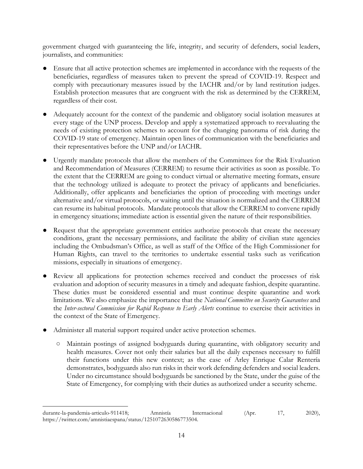government charged with guaranteeing the life, integrity, and security of defenders, social leaders, journalists, and communities:

- Ensure that all active protection schemes are implemented in accordance with the requests of the beneficiaries, regardless of measures taken to prevent the spread of COVID-19. Respect and comply with precautionary measures issued by the IACHR and/or by land restitution judges. Establish protection measures that are congruent with the risk as determined by the CERREM, regardless of their cost.
- Adequately account for the context of the pandemic and obligatory social isolation measures at every stage of the UNP process. Develop and apply a systematized approach to reevaluating the needs of existing protection schemes to account for the changing panorama of risk during the COVID-19 state of emergency. Maintain open lines of communication with the beneficiaries and their representatives before the UNP and/or IACHR.
- Urgently mandate protocols that allow the members of the Committees for the Risk Evaluation and Recommendation of Measures (CERREM) to resume their activities as soon as possible. To the extent that the CERREM are going to conduct virtual or alternative meeting formats, ensure that the technology utilized is adequate to protect the privacy of applicants and beneficiaries. Additionally, offer applicants and beneficiaries the option of proceeding with meetings under alternative and/or virtual protocols, or waiting until the situation is normalized and the CERREM can resume its habitual protocols. Mandate protocols that allow the CERREM to convene rapidly in emergency situations; immediate action is essential given the nature of their responsibilities.
- Request that the appropriate government entities authorize protocols that create the necessary conditions, grant the necessary permissions, and facilitate the ability of civilian state agencies including the Ombudsman's Office, as well as staff of the Office of the High Commissioner for Human Rights, can travel to the territories to undertake essential tasks such as verification missions, especially in situations of emergency.
- Review all applications for protection schemes received and conduct the processes of risk evaluation and adoption of security measures in a timely and adequate fashion, despite quarantine. These duties must be considered essential and must continue despite quarantine and work limitations. We also emphasize the importance that the *National Committee on Security Guarantees* and the *Inter-sectoral Commission for Rapid Response to Early Alerts* continue to exercise their activities in the context of the State of Emergency.
- Administer all material support required under active protection schemes.
	- Maintain postings of assigned bodyguards during quarantine, with obligatory security and health measures. Cover not only their salaries but all the daily expenses necessary to fulfill their functions under this new context; as the case of Arley Enrique Calar Rentería demonstrates, bodyguards also run risks in their work defending defenders and social leaders. Under no circumstance should bodyguards be sanctioned by the State, under the guise of the State of Emergency, for complying with their duties as authorized under a security scheme.

 $\overline{\phantom{a}}$ durante-la-pandemia-articulo-911418; Amnistía Internacional (Apr. 17, 2020), https://twitter.com/amnistiaespana/status/1251072630586773504.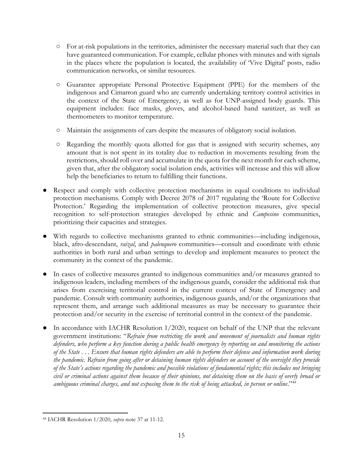- For at-risk populations in the territories, administer the necessary material such that they can have guaranteed communication. For example, cellular phones with minutes and with signals in the places where the population is located, the availability of 'Vive Digital' posts, radio communication networks, or similar resources.
- Guarantee appropriate Personal Protective Equipment (PPE) for the members of the indigenous and Cimarron guard who are currently undertaking territory control activities in the context of the State of Emergency, as well as for UNP-assigned body guards. This equipment includes: face masks, gloves, and alcohol-based hand sanitizer, as well as thermometers to monitor temperature.
- Maintain the assignments of cars despite the measures of obligatory social isolation.
- Regarding the monthly quota allotted for gas that is assigned with security schemes, any amount that is not spent in its totality due to reduction in movements resulting from the restrictions, should roll over and accumulate in the quota for the next month for each scheme, given that, after the obligatory social isolation ends, activities will increase and this will allow help the beneficiaries to return to fulfilling their functions.
- Respect and comply with collective protection mechanisms in equal conditions to individual protection mechanisms. Comply with Decree 2078 of 2017 regulating the 'Route for Collective Protection.' Regarding the implementation of collective protection measures, give special recognition to self-protection strategies developed by ethnic and *Campesino* communities, prioritizing their capacities and strategies.
- With regards to collective mechanisms granted to ethnic communities—including indigenous, black, afro-descendant, *raizal*, and *palenquero* communities—consult and coordinate with ethnic authorities in both rural and urban settings to develop and implement measures to protect the community in the context of the pandemic.
- In cases of collective measures granted to indigenous communities and/or measures granted to indigenous leaders, including members of the indigenous guards, consider the additional risk that arises from exercising territorial control in the current context of State of Emergency and pandemic. Consult with community authorities, indigenous guards, and/or the organizations that represent them, and arrange such additional measures as may be necessary to guarantee their protection and/or security in the exercise of territorial control in the context of the pandemic.
- In accordance with IACHR Resolution 1/2020, request on behalf of the UNP that the relevant government institutions: "*Refrain from restricting the work and movement of journalists and human rights defenders, who perform a key function during a public health emergency by reporting on and monitoring the actions of the State . . . Ensure that human rights defenders are able to perform their defense and information work during the pandemic. Refrain from going after or detaining human rights defenders on account of the oversight they provide of the State's actions regarding the pandemic and possible violations of fundamental rights; this includes not bringing civil or criminal actions against them because of their opinions, not detaining them on the basis of overly broad or*  ambiguous criminal charges, and not exposing them to the risk of being attacked, in person or online."<sup>44</sup>

 $\overline{\phantom{a}}$ <sup>44</sup> IACHR Resolution 1/2020, *supra* note [37](#page-12-0) at 11-12.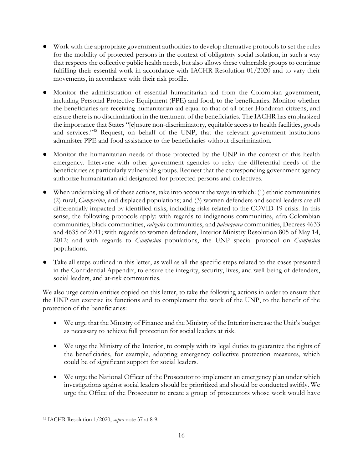- Work with the appropriate government authorities to develop alternative protocols to set the rules for the mobility of protected persons in the context of obligatory social isolation, in such a way that respects the collective public health needs, but also allows these vulnerable groups to continue fulfilling their essential work in accordance with IACHR Resolution 01/2020 and to vary their movements, in accordance with their risk profile.
- Monitor the administration of essential humanitarian aid from the Colombian government, including Personal Protective Equipment (PPE) and food, to the beneficiaries. Monitor whether the beneficiaries are receiving humanitarian aid equal to that of all other Honduran citizens, and ensure there is no discrimination in the treatment of the beneficiaries. The IACHR has emphasized the importance that States "[e]nsure non-discriminatory, equitable access to health facilities, goods and services."<sup>45</sup> Request, on behalf of the UNP, that the relevant government institutions administer PPE and food assistance to the beneficiaries without discrimination.
- Monitor the humanitarian needs of those protected by the UNP in the context of this health emergency. Intervene with other government agencies to relay the differential needs of the beneficiaries as particularly vulnerable groups. Request that the corresponding government agency authorize humanitarian aid designated for protected persons and collectives.
- When undertaking all of these actions, take into account the ways in which: (1) ethnic communities (2) rural, *Campesino*, and displaced populations; and (3) women defenders and social leaders are all differentially impacted by identified risks, including risks related to the COVID-19 crisis. In this sense, the following protocols apply: with regards to indigenous communities, afro-Colombian communities, black communities, *raizales* communities, and *palenqeura* communities, Decrees 4633 and 4635 of 2011; with regards to women defenders, Interior Ministry Resolution 805 of May 14, 2012; and with regards to *Campesino* populations, the UNP special protocol on *Campesino* populations.
- Take all steps outlined in this letter, as well as all the specific steps related to the cases presented in the Confidential Appendix, to ensure the integrity, security, lives, and well-being of defenders, social leaders, and at-risk communities.

We also urge certain entities copied on this letter, to take the following actions in order to ensure that the UNP can exercise its functions and to complement the work of the UNP, to the benefit of the protection of the beneficiaries:

- We urge that the Ministry of Finance and the Ministry of the Interior increase the Unit's budget as necessary to achieve full protection for social leaders at risk.
- We urge the Ministry of the Interior, to comply with its legal duties to guarantee the rights of the beneficiaries, for example, adopting emergency collective protection measures, which could be of significant support for social leaders.
- We urge the National Officer of the Prosecutor to implement an emergency plan under which investigations against social leaders should be prioritized and should be conducted swiftly. We urge the Office of the Prosecutor to create a group of prosecutors whose work would have

 $\overline{\phantom{a}}$ <sup>45</sup> IACHR Resolution 1/2020, *supra* note [37](#page-12-0) at 8-9.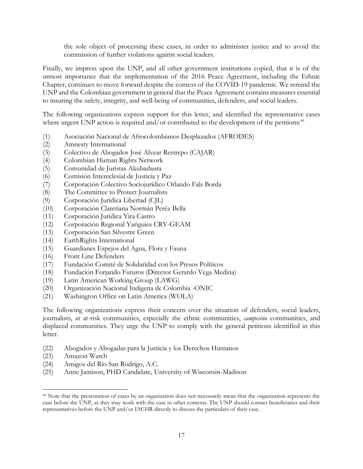the sole object of processing these cases, in order to administer justice and to avoid the commission of further violations against social leaders.

Finally, we impress upon the UNP, and all other government institutions copied, that it is of the utmost importance that the implementation of the 2016 Peace Agreement, including the Ethnic Chapter, continues to move forward despite the context of the COVID-19 pandemic. We remind the UNP and the Colombian government in general that the Peace Agreement contains measures essential to insuring the safety, integrity, and well-being of communities, defenders, and social leaders.

The following organizations express support for this letter, and identified the representative cases where urgent UNP action is required and/or contributed to the development of the petitions:<sup>46</sup>

- (1) Asociación Nacional de Afrocolombianos Desplazados (AFRODES)
- (2) Amnesty International
- (3) Colectivo de Abogados José Alvear Restrepo (CAJAR)
- (4) Colombian Human Rights Network
- (5) Comunidad de Juristas Akubadaura
- (6) Comisión Intereclesial de Justicia y Paz
- (7) Corporación Colectivo Sociojurídico Orlando Fals Borda
- (8) The Committee to Protect Journalists
- (9) Corporación Jurídica Libertad (CJL)
- (10) Corporación Claretiana Normán Peréz Bella
- (11) Corporación Jurídica Yira Castro
- (12) Corporación Regional Yariguies CRY-GEAM
- (13) Corporación San Silvestre Green
- (14) EarthRights International
- (15) Guardianes Espejos del Agua, Flora y Fauna
- (16) Front Line Defenders
- (17) Fundación Comité de Solidaridad con los Presos Políticos
- (18) Fundación Forjando Futuros (Director Gerardo Vega Medina)
- (19) Latin American Working Group (LAWG)
- (20) Organización Nacional Indígena de Colombia -ONIC
- (21) Washington Office on Latin America (WOLA)

The following organizations express their concern over the situation of defenders, social leaders, journalists, at at-risk communities, especially the ethnic communities, *campesino* communities, and displaced communities. They urge the UNP to comply with the general petitions identified in this letter.

- (22) Abogados y Abogadas para la Justicia y los Derechos Humanos
- (23) Amazon Watch

 $\overline{\phantom{a}}$ 

- (24) Amigos del Río San Rodrigo, A.C.
- (25) Anne Jamison, PHD Candidate, University of Wisconsin-Madison

<sup>46</sup> Note that the presentation of cases by an organization does not necessarily mean that the organization represents the case before the UNP, as they may work with the case in other contexts. The UNP should contact beneficiaries and their representatives before the UNP and/or IACHR directly to discuss the particulars of their case.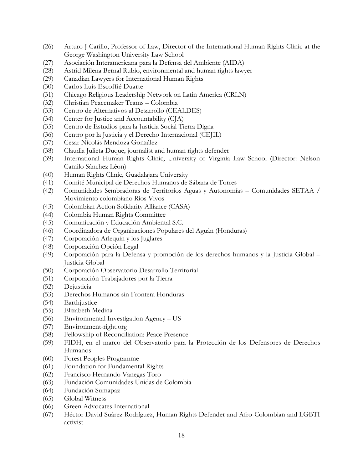- (26) Arturo J Carillo, Professor of Law, Director of the International Human Rights Clinic at the George Washington University Law School
- (27) Asociación Interamericana para la Defensa del Ambiente (AIDA)
- (28) Astrid Milena Bernal Rubio, environmental and human rights lawyer
- (29) Canadian Lawyers for International Human Rights
- (30) Carlos Luis Escoffié Duarte
- (31) Chicago Religious Leadership Network on Latin America (CRLN)
- (32) Christian Peacemaker Teams Colombia
- (33) Centro de Alternativos al Desarrollo (CEALDES)
- (34) Center for Justice and Accountability (CJA)
- (35) Centro de Estudios para la Justicia Social Tierra Digna
- (36) Centro por la Justicia y el Derecho Internacional (CEJIL)
- (37) Cesar Nicolás Mendoza González
- (38) Claudia Julieta Duque, journalist and human rights defender
- (39) International Human Rights Clinic, University of Virginia Law School (Director: Nelson Camilo Sánchez Léon)
- (40) Human Rights Clinic, Guadalajara University
- (41) Comité Municipal de Derechos Humanos de Sábana de Torres
- (42) Comunidades Sembradoras de Territorios Aguas y Autonomías Comunidades SETAA / Movimiento colombiano Ríos Vivos
- (43) Colombian Action Solidarity Alliance (CASA)
- (44) Colombia Human Rights Committee
- (45) Comunicación y Educación Ambiental S.C.
- (46) Coordinadora de Organizaciones Populares del Aguán (Honduras)
- (47) Corporación Arlequin y los Juglares
- (48) Corporación Opción Legal
- (49) Corporación para la Defensa y promoción de los derechos humanos y la Justicia Global Justicia Global
- (50) Corporación Observatorio Desarrollo Territorial
- (51) Corporación Trabajadores por la Tierra
- (52) Dejusticia
- (53) Derechos Humanos sin Frontera Honduras
- (54) Earthjustice
- (55) Elizabeth Medina
- (56) Environmental Investigation Agency US
- (57) Environment-right.org
- (58) Fellowship of Reconciliation: Peace Presence
- (59) FIDH, en el marco del Observatorio para la Protección de los Defensores de Derechos Humanos
- (60) Forest Peoples Programme
- (61) Foundation for Fundamental Rights
- (62) Francisco Hernando Vanegas Toro
- (63) Fundación Comunidades Unidas de Colombia
- (64) Fundación Sumapaz
- (65) Global Witness
- (66) Green Advocates International
- (67) Héctor David Suárez Rodríguez, Human Rights Defender and Afro-Colombian and LGBTI activist